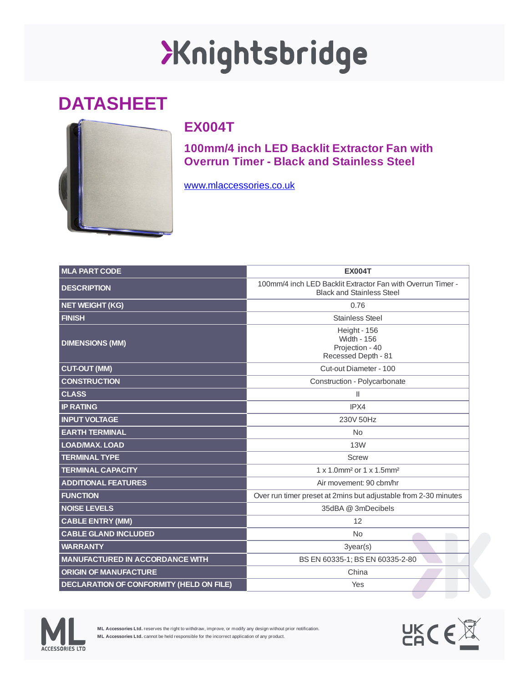## XKnightsbridge

## **DATASHEET**



## **EX004T**

**100mm/4 inch LED Backlit Extractor Fan with Overrun Timer - Black and Stainless Steel**

[www.mlaccessories.co.uk](https://www.mlaccessories.co.uk/)

| <b>MLA PART CODE</b>                            | <b>EX004T</b>                                                                                   |
|-------------------------------------------------|-------------------------------------------------------------------------------------------------|
| <b>DESCRIPTION</b>                              | 100mm/4 inch LED Backlit Extractor Fan with Overrun Timer -<br><b>Black and Stainless Steel</b> |
| <b>NET WEIGHT (KG)</b>                          | 0.76                                                                                            |
| <b>FINISH</b>                                   | <b>Stainless Steel</b>                                                                          |
| <b>DIMENSIONS (MM)</b>                          | Height - 156<br><b>Width - 156</b><br>Projection - 40<br>Recessed Depth - 81                    |
| <b>CUT-OUT (MM)</b>                             | Cut-out Diameter - 100                                                                          |
| <b>CONSTRUCTION</b>                             | Construction - Polycarbonate                                                                    |
| <b>CLASS</b>                                    | $\mathbf{I}$                                                                                    |
| <b>IP RATING</b>                                | IPX4                                                                                            |
| <b>INPUT VOLTAGE</b>                            | 230V 50Hz                                                                                       |
| <b>EARTH TERMINAL</b>                           | <b>No</b>                                                                                       |
| LOAD/MAX. LOAD                                  | 13W                                                                                             |
| <b>TERMINAL TYPE</b>                            | <b>Screw</b>                                                                                    |
| <b>TERMINAL CAPACITY</b>                        | 1 x 1.0mm <sup>2</sup> or 1 x 1.5mm <sup>2</sup>                                                |
| <b>ADDITIONAL FEATURES</b>                      | Air movement: 90 cbm/hr                                                                         |
| <b>FUNCTION</b>                                 | Over run timer preset at 2mins but adjustable from 2-30 minutes                                 |
| <b>NOISE LEVELS</b>                             | 35dBA @ 3mDecibels                                                                              |
| <b>CABLE ENTRY (MM)</b>                         | 12                                                                                              |
| <b>CABLE GLAND INCLUDED</b>                     | <b>No</b>                                                                                       |
| <b>WARRANTY</b>                                 | $3$ year $(s)$                                                                                  |
| <b>MANUFACTURED IN ACCORDANCE WITH</b>          | BS EN 60335-1; BS EN 60335-2-80                                                                 |
| <b>ORIGIN OF MANUFACTURE</b>                    | China                                                                                           |
| <b>DECLARATION OF CONFORMITY (HELD ON FILE)</b> | Yes                                                                                             |



**ML Accessories Ltd.** reserves the right to withdraw, improve, or modify any design without prior notification. **ML Accessories Ltd.** cannot be held responsible for the incorrect application of any product.